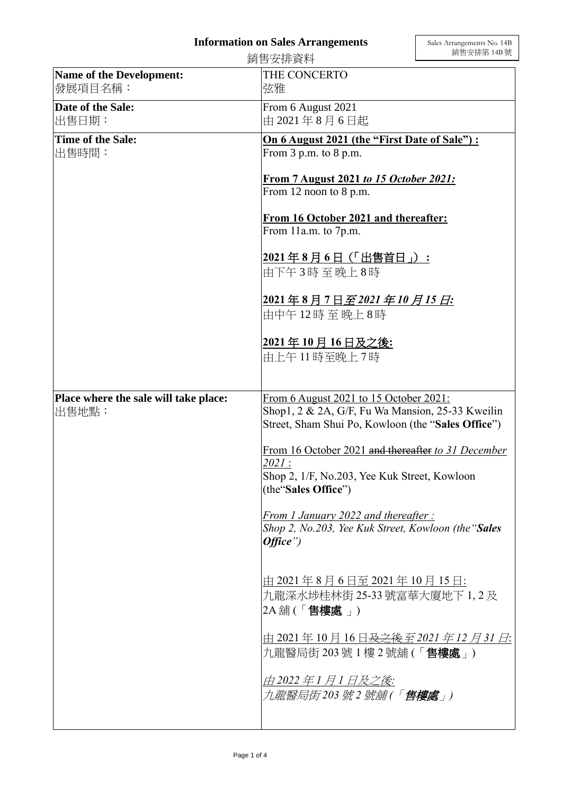## **Information on Sales Arrangements**

|                                                | 銷售安排資料                                                                                     | 銷售安排第 14B 號                            |  |
|------------------------------------------------|--------------------------------------------------------------------------------------------|----------------------------------------|--|
| Name of the Development:                       | THE CONCERTO                                                                               |                                        |  |
| 發展項目名稱:                                        | 弦雅                                                                                         |                                        |  |
| Date of the Sale:                              | From 6 August 2021                                                                         |                                        |  |
| 出售日期:                                          | 中 2021年8月6日起                                                                               |                                        |  |
| Time of the Sale:                              | On 6 August 2021 (the "First Date of Sale") :                                              |                                        |  |
| 出售時間:                                          | From $3$ p.m. to $8$ p.m.                                                                  |                                        |  |
|                                                |                                                                                            | From 7 August 2021 to 15 October 2021: |  |
|                                                |                                                                                            | From 12 noon to 8 p.m.                 |  |
|                                                |                                                                                            |                                        |  |
|                                                |                                                                                            | From 16 October 2021 and thereafter:   |  |
|                                                | From 11a.m. to 7p.m.                                                                       |                                        |  |
|                                                | 2021年8月6日 (「出售首日」):                                                                        |                                        |  |
|                                                | 由下午3時至晚上8時                                                                                 |                                        |  |
|                                                |                                                                                            |                                        |  |
|                                                | <u> 2021年8月7日至2021年10月15日:</u>                                                             |                                        |  |
|                                                | 由中午12時至晚上8時                                                                                |                                        |  |
|                                                | 2021年10月16日及之後:                                                                            |                                        |  |
|                                                | 由上午11時至晚上7時                                                                                |                                        |  |
|                                                |                                                                                            |                                        |  |
|                                                |                                                                                            |                                        |  |
| Place where the sale will take place:<br>出售地點: | From 6 August 2021 to 15 October 2021:<br>Shop1, 2 & 2A, G/F, Fu Wa Mansion, 25-33 Kweilin |                                        |  |
|                                                | Street, Sham Shui Po, Kowloon (the "Sales Office")                                         |                                        |  |
|                                                |                                                                                            |                                        |  |
|                                                | From 16 October 2021 and thereafter to 31 December                                         |                                        |  |
|                                                | 2021:<br>Shop 2, 1/F, No.203, Yee Kuk Street, Kowloon                                      |                                        |  |
|                                                | (the "Sales Office")                                                                       |                                        |  |
|                                                |                                                                                            |                                        |  |
|                                                | From 1 January 2022 and thereafter:<br>Shop 2, No.203, Yee Kuk Street, Kowloon (the "Sales |                                        |  |
|                                                | Office'                                                                                    |                                        |  |
|                                                |                                                                                            |                                        |  |
|                                                |                                                                                            |                                        |  |
|                                                | 由 2021年8月6日至 2021年 10月 15日:<br>九龍深水埗桂林街 25-33 號富華大廈地下 1, 2 及                               |                                        |  |
|                                                | $2A \nleftrightarrow ($ $\sqrt{1 + 2\pi}$ ( $\sqrt{1 + 2\pi}$ $\sqrt{1 + 2\pi}$ )          |                                        |  |
|                                                |                                                                                            |                                        |  |
|                                                | 由 2021年 10 月 16 日 <del>及之後</del> 至 2021 年 12 月 31 日:                                       |                                        |  |
|                                                | 九龍醫局街 203 號 1 樓 2 號舖 (「 <b>售樓處</b> 」)                                                      |                                        |  |
|                                                |                                                                                            |                                        |  |
|                                                | 由 2022 年 1 月 1 日及之後:<br>九龍醫局街203 號2 號舖(「 <b>售樓處</b> 」)                                     |                                        |  |
|                                                |                                                                                            |                                        |  |
|                                                |                                                                                            |                                        |  |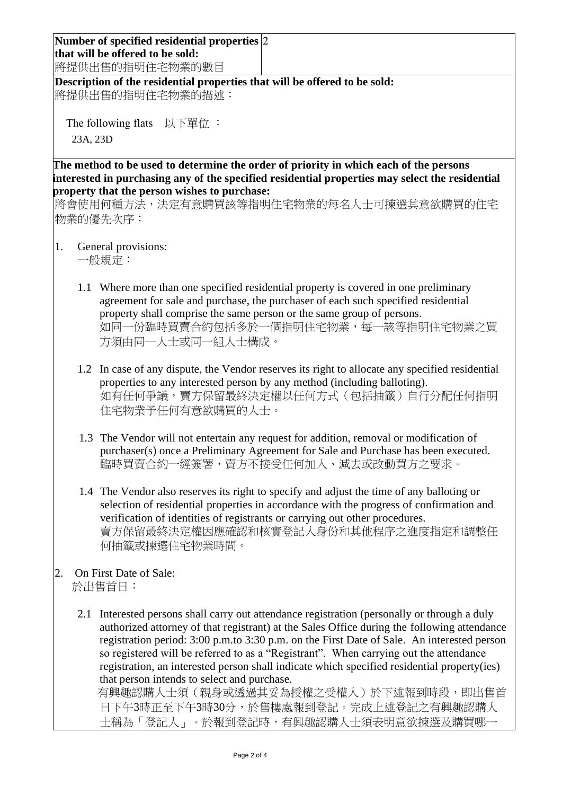**Number of specified residential properties** 2 **that will be offered to be sold:** 將提供出售的指明住宅物業的數目

**Description of the residential properties that will be offered to be sold:** 將提供出售的指明住宅物業的描述:

The following flats 以下單位: 23A, 23D

**The method to be used to determine the order of priority in which each of the persons interested in purchasing any of the specified residential properties may select the residential property that the person wishes to purchase:** 

將會使用何種方法,決定有意購買該等指明住宅物業的每名人士可揀選其意欲購買的住宅 物業的優先次序:

1. General provisions:

一般規定:

- 1.1 Where more than one specified residential property is covered in one preliminary agreement for sale and purchase, the purchaser of each such specified residential property shall comprise the same person or the same group of persons. 如同一份臨時買賣合約包括多於一個指明住宅物業,每一該等指明住宅物業之買 方須由同一人士或同一組人士構成。
- 1.2 In case of any dispute, the Vendor reserves its right to allocate any specified residential properties to any interested person by any method (including balloting). 如有任何爭議,賣方保留最終決定權以任何方式(包括抽籤)自行分配任何指明 住宅物業予任何有意欲購買的人士。
- 1.3 The Vendor will not entertain any request for addition, removal or modification of purchaser(s) once a Preliminary Agreement for Sale and Purchase has been executed. 臨時買賣合約一經簽署,賣方不接受任何加入、減去或改動買方之要求。
- 1.4 The Vendor also reserves its right to specify and adjust the time of any balloting or selection of residential properties in accordance with the progress of confirmation and verification of identities of registrants or carrying out other procedures. 賣方保留最終決定權因應確認和核實登記人身份和其他程序之進度指定和調整任 何抽籤或揀選住宅物業時間。
- 2. On First Date of Sale: 於出售首日:
	- 2.1 Interested persons shall carry out attendance registration (personally or through a duly authorized attorney of that registrant) at the Sales Office during the following attendance registration period: 3:00 p.m.to 3:30 p.m. on the First Date of Sale. An interested person so registered will be referred to as a "Registrant". When carrying out the attendance registration, an interested person shall indicate which specified residential property(ies) that person intends to select and purchase.

有興趣認購人士須(親身或透過其妥為授權之受權人)於下述報到時段,即出售首 日下午3時正至下午3時30分,於售樓處報到登記。完成上述登記之有興趣認購人 士稱為「登記人」。於報到登記時,有興趣認購人士須表明意欲揀選及購買哪一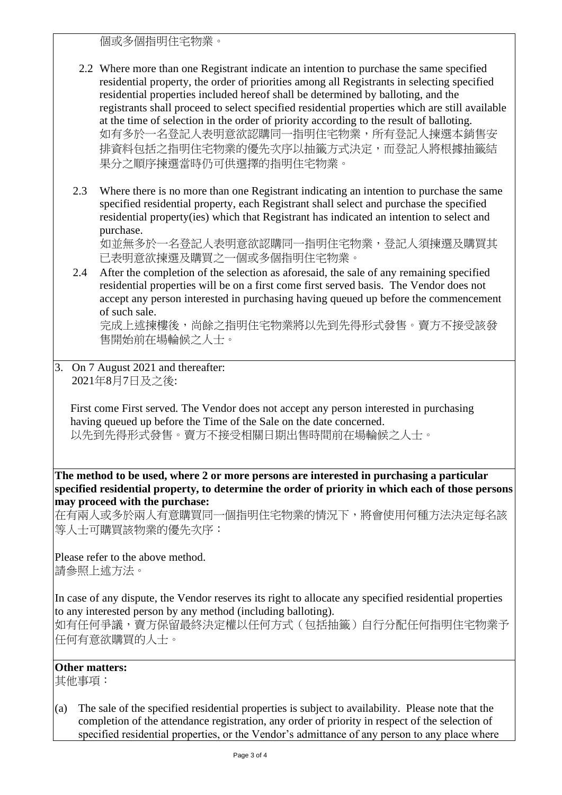個或多個指明住宅物業。

- 2.2 Where more than one Registrant indicate an intention to purchase the same specified residential property, the order of priorities among all Registrants in selecting specified residential properties included hereof shall be determined by balloting, and the registrants shall proceed to select specified residential properties which are still available at the time of selection in the order of priority according to the result of balloting. 如有多於一名登記人表明意欲認購同一指明住宅物業,所有登記人揀選本銷售安 排資料包括之指明住宅物業的優先次序以抽籤方式決定,而登記人將根據抽籤結 果分之順序揀選當時仍可供選擇的指明住宅物業。
- 2.3 Where there is no more than one Registrant indicating an intention to purchase the same specified residential property, each Registrant shall select and purchase the specified residential property(ies) which that Registrant has indicated an intention to select and purchase.

如並無多於一名登記人表明意欲認購同一指明住宅物業,登記人須揀選及購買其 已表明意欲揀選及購買之一個或多個指明住宅物業。

2.4 After the completion of the selection as aforesaid, the sale of any remaining specified residential properties will be on a first come first served basis. The Vendor does not accept any person interested in purchasing having queued up before the commencement of such sale.

完成上述揀樓後,尚餘之指明住宅物業將以先到先得形式發售。賣方不接受該發 售開始前在場輪候之人士。

3. On 7 August 2021 and thereafter: 2021年8月7日及之後:

First come First served. The Vendor does not accept any person interested in purchasing having queued up before the Time of the Sale on the date concerned. 以先到先得形式發售。賣方不接受相關日期出售時間前在場輪候之人士。

**The method to be used, where 2 or more persons are interested in purchasing a particular specified residential property, to determine the order of priority in which each of those persons may proceed with the purchase:**

在有兩人或多於兩人有意購買同一個指明住宅物業的情況下,將會使用何種方法決定每名該 等人士可購買該物業的優先次序:

Please refer to the above method. 請參照上述方法。

In case of any dispute, the Vendor reserves its right to allocate any specified residential properties to any interested person by any method (including balloting). 如有任何爭議,賣方保留最終決定權以任何方式(包括抽籤)自行分配任何指明住宅物業予 任何有意欲購買的人士。

## **Other matters:**

其他事項:

(a) The sale of the specified residential properties is subject to availability. Please note that the completion of the attendance registration, any order of priority in respect of the selection of specified residential properties, or the Vendor's admittance of any person to any place where